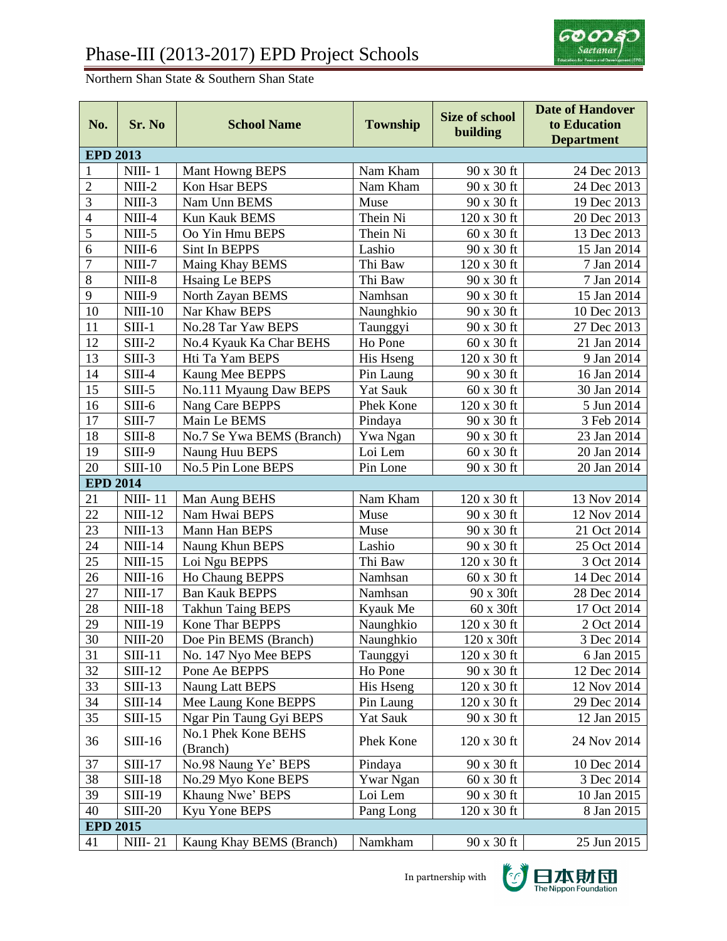## Northern Shan State & Southern Shan State

| No.                      | Sr. No         | <b>School Name</b>              | <b>Township</b>  | <b>Size of school</b><br>building | <b>Date of Handover</b><br>to Education<br><b>Department</b> |  |  |
|--------------------------|----------------|---------------------------------|------------------|-----------------------------------|--------------------------------------------------------------|--|--|
| <b>EPD 2013</b>          |                |                                 |                  |                                   |                                                              |  |  |
| $\mathbf{1}$             | $NIII-1$       | Mant Howng BEPS                 | Nam Kham         | 90 x 30 ft                        | 24 Dec 2013                                                  |  |  |
| $\overline{2}$           | $NIII-2$       | Kon Hsar BEPS                   | Nam Kham         | 90 x 30 ft                        | 24 Dec 2013                                                  |  |  |
| 3                        | $NIII-3$       | Nam Unn BEMS                    | Muse             | 90 x 30 ft                        | 19 Dec 2013                                                  |  |  |
| $\overline{\mathcal{L}}$ | $NIII-4$       | Kun Kauk BEMS                   | Thein Ni         | 120 x 30 ft                       | 20 Dec 2013                                                  |  |  |
| 5                        | $NIII-5$       | Oo Yin Hmu BEPS                 | Thein Ni         | 60 x 30 ft                        | 13 Dec 2013                                                  |  |  |
| $\overline{6}$           | NIII-6         | Sint In BEPPS                   | Lashio           | 90 x 30 ft                        | 15 Jan 2014                                                  |  |  |
| $\overline{7}$           | NIII-7         | Maing Khay BEMS                 | Thi Baw          | 120 x 30 ft                       | 7 Jan 2014                                                   |  |  |
| 8                        | $NIII-8$       | <b>Hsaing Le BEPS</b>           | Thi Baw          | 90 x 30 ft                        | 7 Jan 2014                                                   |  |  |
| 9                        | NIII-9         | North Zayan BEMS                | Namhsan          | 90 x 30 ft                        | 15 Jan 2014                                                  |  |  |
| 10                       | $NIII-10$      | Nar Khaw BEPS                   | Naunghkio        | 90 x 30 ft                        | 10 Dec 2013                                                  |  |  |
| 11                       | $SIII-1$       | No.28 Tar Yaw BEPS              | Taunggyi         | 90 x 30 ft                        | 27 Dec 2013                                                  |  |  |
| 12                       | $SIII-2$       | No.4 Kyauk Ka Char BEHS         | Ho Pone          | 60 x 30 ft                        | 21 Jan 2014                                                  |  |  |
| 13                       | $SIII-3$       | Hti Ta Yam BEPS                 | His Hseng        | 120 x 30 ft                       | 9 Jan 2014                                                   |  |  |
| 14                       | $SIII-4$       | Kaung Mee BEPPS                 | Pin Laung        | 90 x 30 ft                        | 16 Jan 2014                                                  |  |  |
| 15                       | $SIII-5$       | No.111 Myaung Daw BEPS          | <b>Yat Sauk</b>  | 60 x 30 ft                        | 30 Jan 2014                                                  |  |  |
| 16                       | $SIII-6$       | Nang Care BEPPS                 | Phek Kone        | 120 x 30 ft                       | 5 Jun 2014                                                   |  |  |
| 17                       | $SIII-7$       | Main Le BEMS                    | Pindaya          | 90 x 30 ft                        | 3 Feb 2014                                                   |  |  |
| 18                       | $SIII-8$       | No.7 Se Ywa BEMS (Branch)       | Ywa Ngan         | 90 x 30 ft                        | 23 Jan 2014                                                  |  |  |
| 19                       | $SIII-9$       | Naung Huu BEPS                  | Loi Lem          | 60 x 30 ft                        | 20 Jan 2014                                                  |  |  |
| 20                       | $SIII-10$      | No.5 Pin Lone BEPS              | Pin Lone         | 90 x 30 ft                        | 20 Jan 2014                                                  |  |  |
| <b>EPD 2014</b>          |                |                                 |                  |                                   |                                                              |  |  |
| 21                       | <b>NIII-11</b> | Man Aung BEHS                   | Nam Kham         | 120 x 30 ft                       | 13 Nov 2014                                                  |  |  |
| 22                       | $NIII-12$      | Nam Hwai BEPS                   | Muse             | 90 x 30 ft                        | 12 Nov 2014                                                  |  |  |
| 23                       | $NIII-13$      | Mann Han BEPS                   | Muse             | 90 x 30 ft                        | 21 Oct 2014                                                  |  |  |
| 24                       | $NIII-14$      | Naung Khun BEPS                 | Lashio           | 90 x 30 ft                        | 25 Oct 2014                                                  |  |  |
| 25                       | $NIII-15$      | Loi Ngu BEPPS                   | Thi Baw          | 120 x 30 ft                       | 3 Oct 2014                                                   |  |  |
| 26                       | $NIII-16$      | Ho Chaung BEPPS                 | Namhsan          | $60 \times 30$ ft                 | 14 Dec 2014                                                  |  |  |
| 27                       | $NIII-17$      | <b>Ban Kauk BEPPS</b>           | Namhsan          | 90 x 30ft                         | 28 Dec 2014                                                  |  |  |
| 28                       | <b>NIII-18</b> | <b>Takhun Taing BEPS</b>        | Kyauk Me         | 60 x 30ft                         | 17 Oct 2014                                                  |  |  |
| 29                       | <b>NIII-19</b> | Kone Thar BEPPS                 | Naunghkio        | 120 x 30 ft                       | 2 Oct 2014                                                   |  |  |
| 30                       | <b>NIII-20</b> | Doe Pin BEMS (Branch)           | Naunghkio        | $120 \times 30$ ft                | 3 Dec 2014                                                   |  |  |
| 31                       | $SIII-11$      | No. 147 Nyo Mee BEPS            | Taunggyi         | 120 x 30 ft                       | 6 Jan 2015                                                   |  |  |
| 32                       | $SIII-12$      | Pone Ae BEPPS                   | Ho Pone          | 90 x 30 ft                        | 12 Dec 2014                                                  |  |  |
| 33                       | $SIII-13$      | Naung Latt BEPS                 | His Hseng        | 120 x 30 ft                       | 12 Nov 2014                                                  |  |  |
| 34                       | $SIII-14$      | Mee Laung Kone BEPPS            | Pin Laung        | 120 x 30 ft                       | 29 Dec 2014                                                  |  |  |
| 35                       | $SIII-15$      | Ngar Pin Taung Gyi BEPS         | <b>Yat Sauk</b>  | 90 x 30 ft                        | 12 Jan 2015                                                  |  |  |
| 36                       | $SIII-16$      | No.1 Phek Kone BEHS<br>(Branch) | Phek Kone        | 120 x 30 ft                       | 24 Nov 2014                                                  |  |  |
| 37                       | $SIII-17$      | No.98 Naung Ye' BEPS            | Pindaya          | 90 x 30 ft                        | 10 Dec 2014                                                  |  |  |
| 38                       | $SIII-18$      | No.29 Myo Kone BEPS             | <b>Ywar Ngan</b> | $60 \times 30$ ft                 | 3 Dec 2014                                                   |  |  |
| 39                       | <b>SIII-19</b> | Khaung Nwe' BEPS                | Loi Lem          | 90 x 30 ft                        | 10 Jan 2015                                                  |  |  |
| 40                       | <b>SIII-20</b> | Kyu Yone BEPS                   | Pang Long        | $120 \times 30$ ft                | 8 Jan 2015                                                   |  |  |
| <b>EPD 2015</b>          |                |                                 |                  |                                   |                                                              |  |  |
| 41                       | <b>NIII-21</b> | Kaung Khay BEMS (Branch)        | Namkham          | 90 x 30 ft                        | 25 Jun 2015                                                  |  |  |

In partnership with

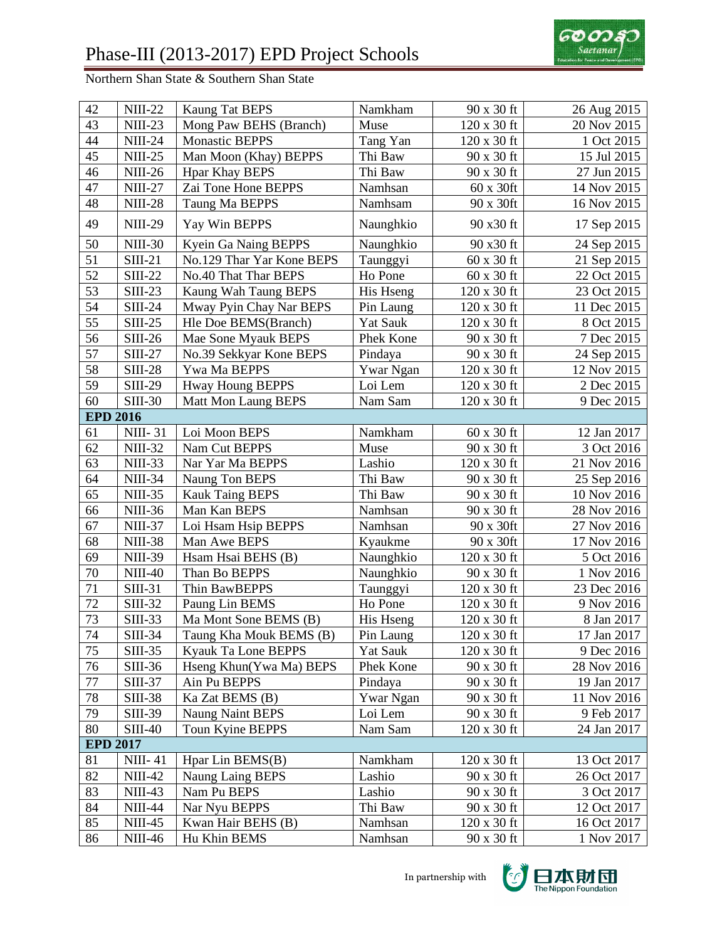

Northern Shan State & Southern Shan State

| 42              | <b>NIII-22</b>  | Kaung Tat BEPS            | Namkham          | 90 x 30 ft         | 26 Aug 2015 |
|-----------------|-----------------|---------------------------|------------------|--------------------|-------------|
| 43              | <b>NIII-23</b>  | Mong Paw BEHS (Branch)    | Muse             | 120 x 30 ft        | 20 Nov 2015 |
| 44              | <b>NIII-24</b>  | <b>Monastic BEPPS</b>     | Tang Yan         | 120 x 30 ft        | 1 Oct 2015  |
| 45              | <b>NIII-25</b>  | Man Moon (Khay) BEPPS     | Thi Baw          | 90 x 30 ft         | 15 Jul 2015 |
| 46              | <b>NIII-26</b>  | <b>Hpar Khay BEPS</b>     | Thi Baw          | 90 x 30 ft         | 27 Jun 2015 |
| 47              | <b>NIII-27</b>  | Zai Tone Hone BEPPS       | Namhsan          | 60 x 30ft          | 14 Nov 2015 |
| 48              | <b>NIII-28</b>  | Taung Ma BEPPS            | Namhsam          | 90 x 30ft          | 16 Nov 2015 |
| 49              | <b>NIII-29</b>  | Yay Win BEPPS             | Naunghkio        | 90 x30 ft          | 17 Sep 2015 |
| 50              | <b>NIII-30</b>  | Kyein Ga Naing BEPPS      | Naunghkio        | 90 x30 ft          | 24 Sep 2015 |
| 51              | $SIII-21$       | No.129 Thar Yar Kone BEPS | Taunggyi         | 60 x 30 ft         | 21 Sep 2015 |
| 52              | <b>SIII-22</b>  | No.40 That Thar BEPS      | Ho Pone          | 60 x 30 ft         | 22 Oct 2015 |
| 53              | $SIII-23$       | Kaung Wah Taung BEPS      | His Hseng        | 120 x 30 ft        | 23 Oct 2015 |
| 54              | $SIII-24$       | Mway Pyin Chay Nar BEPS   | Pin Laung        | 120 x 30 ft        | 11 Dec 2015 |
| 55              | $SIII-25$       | Hle Doe BEMS(Branch)      | <b>Yat Sauk</b>  | 120 x 30 ft        | 8 Oct 2015  |
| 56              | $SIII-26$       | Mae Sone Myauk BEPS       | Phek Kone        | 90 x 30 ft         | 7 Dec 2015  |
| 57              | <b>SIII-27</b>  | No.39 Sekkyar Kone BEPS   | Pindaya          | 90 x 30 ft         | 24 Sep 2015 |
| 58              | <b>SIII-28</b>  | Ywa Ma BEPPS              | <b>Ywar Ngan</b> | 120 x 30 ft        | 12 Nov 2015 |
| 59              | <b>SIII-29</b>  | <b>Hway Houng BEPPS</b>   | Loi Lem          | 120 x 30 ft        | 2 Dec 2015  |
| 60              | <b>SIII-30</b>  | Matt Mon Laung BEPS       | Nam Sam          | 120 x 30 ft        | 9 Dec 2015  |
|                 | <b>EPD 2016</b> |                           |                  |                    |             |
| 61              | <b>NIII-31</b>  | Loi Moon BEPS             | Namkham          | 60 x 30 ft         | 12 Jan 2017 |
| 62              | <b>NIII-32</b>  | Nam Cut BEPPS             | Muse             | 90 x 30 ft         | 3 Oct 2016  |
| 63              | <b>NIII-33</b>  | Nar Yar Ma BEPPS          | Lashio           | 120 x 30 ft        | 21 Nov 2016 |
| 64              | <b>NIII-34</b>  | Naung Ton BEPS            | Thi Baw          | 90 x 30 ft         | 25 Sep 2016 |
| 65              | <b>NIII-35</b>  | <b>Kauk Taing BEPS</b>    | Thi Baw          | 90 x 30 ft         | 10 Nov 2016 |
| 66              | <b>NIII-36</b>  | Man Kan BEPS              | Namhsan          | 90 x 30 ft         | 28 Nov 2016 |
| 67              | <b>NIII-37</b>  | Loi Hsam Hsip BEPPS       | Namhsan          | 90 x 30ft          | 27 Nov 2016 |
| 68              | <b>NIII-38</b>  | Man Awe BEPS              | Kyaukme          | 90 x 30ft          | 17 Nov 2016 |
| 69              | <b>NIII-39</b>  | Hsam Hsai BEHS (B)        | Naunghkio        | 120 x 30 ft        | 5 Oct 2016  |
| 70              | $NIII-40$       | Than Bo BEPPS             | Naunghkio        | 90 x 30 ft         | 1 Nov 2016  |
| $\overline{71}$ | $SIII-31$       | Thin BawBEPPS             | Taunggyi         | 120 x 30 ft        | 23 Dec 2016 |
| 72              | <b>SIII-32</b>  | Paung Lin BEMS            | Ho Pone          | 120 x 30 ft        | 9 Nov 2016  |
| 73              | <b>SIII-33</b>  | Ma Mont Sone BEMS (B)     | His Hseng        | 120 x 30 ft        | 8 Jan 2017  |
| 74              | <b>SIII-34</b>  | Taung Kha Mouk BEMS (B)   | Pin Laung        | $120 \times 30$ ft | 17 Jan 2017 |
| 75              | $SIII-35$       | Kyauk Ta Lone BEPPS       | Yat Sauk         | 120 x 30 ft        | 9 Dec 2016  |
| 76              | SIII-36         | Hseng Khun(Ywa Ma) BEPS   | Phek Kone        | 90 x 30 ft         | 28 Nov 2016 |
| $77 \,$         | SIII-37         | Ain Pu BEPPS              | Pindaya          | 90 x 30 ft         | 19 Jan 2017 |
| 78              | <b>SIII-38</b>  | Ka Zat BEMS (B)           | <b>Ywar Ngan</b> | 90 x 30 ft         | 11 Nov 2016 |
| 79              | SIII-39         | <b>Naung Naint BEPS</b>   | Loi Lem          | 90 x 30 ft         | 9 Feb 2017  |
| 80              | <b>SIII-40</b>  | Toun Kyine BEPPS          | Nam Sam          | 120 x 30 ft        | 24 Jan 2017 |
|                 | <b>EPD 2017</b> |                           |                  |                    |             |
| 81              | <b>NIII-41</b>  | Hpar Lin BEMS(B)          | Namkham          | 120 x 30 ft        | 13 Oct 2017 |
| 82              | <b>NIII-42</b>  | Naung Laing BEPS          | Lashio           | 90 x 30 ft         | 26 Oct 2017 |
| 83              | $NIII-43$       | Nam Pu BEPS               | Lashio           | 90 x 30 ft         | 3 Oct 2017  |
| 84              | <b>NIII-44</b>  | Nar Nyu BEPPS             | Thi Baw          | 90 x 30 ft         | 12 Oct 2017 |
| 85              | <b>NIII-45</b>  | Kwan Hair BEHS (B)        | Namhsan          | 120 x 30 ft        | 16 Oct 2017 |
| 86              | <b>NIII-46</b>  | Hu Khin BEMS              | Namhsan          | 90 x 30 ft         | 1 Nov 2017  |
|                 |                 |                           |                  |                    |             |